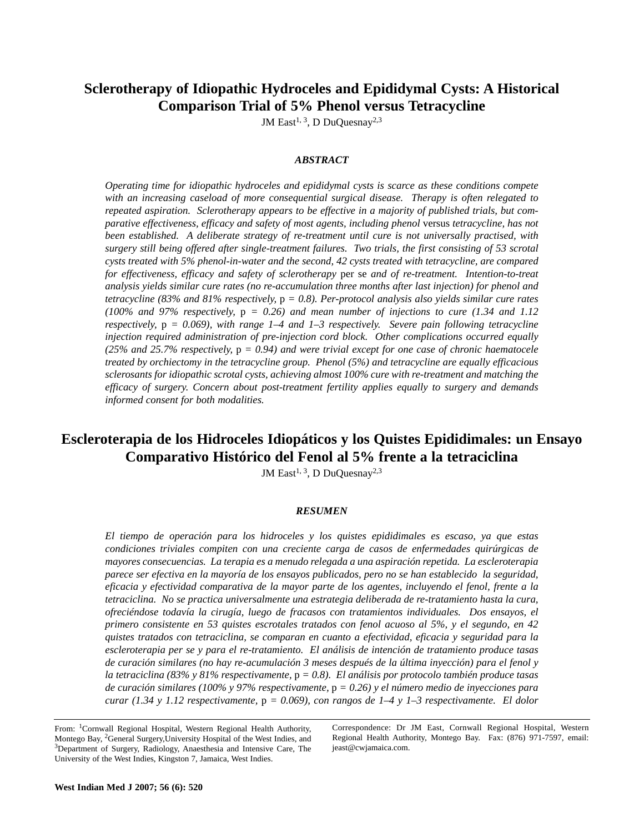# **Sclerotherapy of Idiopathic Hydroceles and Epididymal Cysts: A Historical Comparison Trial of 5% Phenol versus Tetracycline**

JM East<sup>1, 3</sup>, D DuQuesnay<sup>2,3</sup>

# *ABSTRACT*

*Operating time for idiopathic hydroceles and epididymal cysts is scarce as these conditions compete with an increasing caseload of more consequential surgical disease. Therapy is often relegated to repeated aspiration. Sclerotherapy appears to be effective in a majority of published trials, but comparative effectiveness, efficacy and safety of most agents, including phenol* versus *tetracycline, has not been established. A deliberate strategy of re-treatment until cure is not universally practised, with surgery still being offered after single-treatment failures. Two trials, the first consisting of 53 scrotal cysts treated with 5% phenol-in-water and the second, 42 cysts treated with tetracycline, are compared for effectiveness, efficacy and safety of sclerotherapy* per se *and of re-treatment. Intention-to-treat analysis yields similar cure rates (no re-accumulation three months after last injection) for phenol and tetracycline (83% and 81% respectively,* p *= 0.8). Per-protocol analysis also yields similar cure rates (100% and 97% respectively,* p *= 0.26) and mean number of injections to cure (1.34 and 1.12 respectively,* p *= 0.069), with range 1–4 and 1–3 respectively. Severe pain following tetracycline injection required administration of pre-injection cord block. Other complications occurred equally (25% and 25.7% respectively,* p *= 0.94) and were trivial except for one case of chronic haematocele treated by orchiectomy in the tetracycline group. Phenol (5%) and tetracycline are equally efficacious sclerosants for idiopathic scrotal cysts, achieving almost 100% cure with re-treatment and matching the efficacy of surgery. Concern about post-treatment fertility applies equally to surgery and demands informed consent for both modalities.*

# **Escleroterapia de los Hidroceles Idiopáticos y los Quistes Epididimales: un Ensayo Comparativo Histórico del Fenol al 5% frente a la tetraciclina**

JM East<sup>1, 3</sup>, D DuQuesnay<sup>2,3</sup>

## *RESUMEN*

*El tiempo de operación para los hidroceles y los quistes epididimales es escaso, ya que estas condiciones triviales compiten con una creciente carga de casos de enfermedades quirúrgicas de mayores consecuencias. La terapia es a menudo relegada a una aspiración repetida. La escleroterapia parece ser efectiva en la mayoría de los ensayos publicados, pero no se han establecido la seguridad, eficacia y efectividad comparativa de la mayor parte de los agentes, incluyendo el fenol, frente a la tetraciclina. No se practica universalmente una estrategia deliberada de re-tratamiento hasta la cura, ofreciéndose todavía la cirugía, luego de fracasos con tratamientos individuales. Dos ensayos, el primero consistente en 53 quistes escrotales tratados con fenol acuoso al 5%, y el segundo, en 42 quistes tratados con tetraciclina, se comparan en cuanto a efectividad, eficacia y seguridad para la escleroterapia per se y para el re-tratamiento. El análisis de intención de tratamiento produce tasas de curación similares (no hay re-acumulación 3 meses después de la última inyección) para el fenol y la tetraciclina (83% y 81% respectivamente,* p *= 0.8). El análisis por protocolo también produce tasas de curación similares (100% y 97% respectivamente,* p *= 0.26) y el número medio de inyecciones para curar (1.34 y 1.12 respectivamente,* p *= 0.069), con rangos de 1–4 y 1–3 respectivamente. El dolor*

Correspondence: Dr JM East, Cornwall Regional Hospital, Western Regional Health Authority, Montego Bay. Fax: (876) 971-7597, email: jeast@cwjamaica.com.

From: 1Cornwall Regional Hospital, Western Regional Health Authority, Montego Bay, 2General Surgery,University Hospital of the West Indies, and <sup>3</sup>Department of Surgery, Radiology, Anaesthesia and Intensive Care, The University of the West Indies, Kingston 7, Jamaica, West Indies.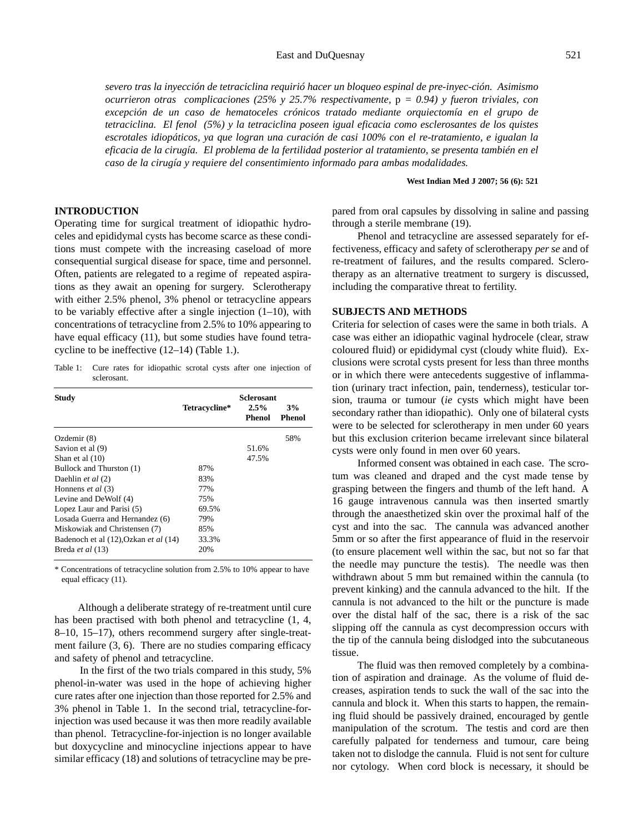*severo tras la inyección de tetraciclina requirió hacer un bloqueo espinal de pre-inyec-ción. Asimismo ocurrieron otras complicaciones (25% y 25.7% respectivamente,* p *= 0.94) y fueron triviales, con excepción de un caso de hematoceles crónicos tratado mediante orquiectomía en el grupo de tetraciclina. El fenol (5%) y la tetraciclina poseen igual eficacia como esclerosantes de los quistes escrotales idiopáticos, ya que logran una curación de casi 100% con el re-tratamiento, e igualan la eficacia de la cirugía. El problema de la fertilidad posterior al tratamiento, se presenta también en el caso de la cirugía y requiere del consentimiento informado para ambas modalidades.*

**West Indian Med J 2007; 56 (6): 521**

## **INTRODUCTION**

Operating time for surgical treatment of idiopathic hydroceles and epididymal cysts has become scarce as these conditions must compete with the increasing caseload of more consequential surgical disease for space, time and personnel. Often, patients are relegated to a regime of repeated aspirations as they await an opening for surgery. Sclerotherapy with either 2.5% phenol, 3% phenol or tetracycline appears to be variably effective after a single injection  $(1-10)$ , with concentrations of tetracycline from 2.5% to 10% appearing to have equal efficacy (11), but some studies have found tetracycline to be ineffective (12–14) (Table 1.).

Table 1: Cure rates for idiopathic scrotal cysts after one injection of sclerosant.

| <b>Study</b>                          | Tetracycline* | <b>Sclerosant</b><br>2.5%<br>Phenol | 3%<br>Phenol |
|---------------------------------------|---------------|-------------------------------------|--------------|
| Ozdemir $(8)$                         |               |                                     | 58%          |
| Savion et al (9)                      |               | 51.6%                               |              |
| Shan et al $(10)$                     |               | 47.5%                               |              |
| Bullock and Thurston (1)              | 87%           |                                     |              |
| Daehlin et al (2)                     | 83%           |                                     |              |
| Honnens et al (3)                     | 77%           |                                     |              |
| Levine and DeWolf (4)                 | 75%           |                                     |              |
| Lopez Laur and Parisi (5)             | 69.5%         |                                     |              |
| Losada Guerra and Hernandez (6)       | 79%           |                                     |              |
| Miskowiak and Christensen (7)         | 85%           |                                     |              |
| Badenoch et al (12), Ozkan et al (14) | 33.3%         |                                     |              |
| Breda et al (13)                      | 20%           |                                     |              |

\* Concentrations of tetracycline solution from 2.5% to 10% appear to have equal efficacy (11).

Although a deliberate strategy of re-treatment until cure has been practised with both phenol and tetracycline (1, 4, 8–10, 15–17), others recommend surgery after single-treatment failure (3, 6). There are no studies comparing efficacy and safety of phenol and tetracycline.

In the first of the two trials compared in this study, 5% phenol-in-water was used in the hope of achieving higher cure rates after one injection than those reported for 2.5% and 3% phenol in Table 1. In the second trial, tetracycline-forinjection was used because it was then more readily available than phenol. Tetracycline-for-injection is no longer available but doxycycline and minocycline injections appear to have similar efficacy (18) and solutions of tetracycline may be prepared from oral capsules by dissolving in saline and passing through a sterile membrane (19).

Phenol and tetracycline are assessed separately for effectiveness, efficacy and safety of sclerotherapy *per se* and of re-treatment of failures, and the results compared. Sclerotherapy as an alternative treatment to surgery is discussed, including the comparative threat to fertility.

## **SUBJECTS AND METHODS**

Criteria for selection of cases were the same in both trials. A case was either an idiopathic vaginal hydrocele (clear, straw coloured fluid) or epididymal cyst (cloudy white fluid). Exclusions were scrotal cysts present for less than three months or in which there were antecedents suggestive of inflammation (urinary tract infection, pain, tenderness), testicular torsion, trauma or tumour (*ie* cysts which might have been secondary rather than idiopathic). Only one of bilateral cysts were to be selected for sclerotherapy in men under 60 years but this exclusion criterion became irrelevant since bilateral cysts were only found in men over 60 years.

Informed consent was obtained in each case. The scrotum was cleaned and draped and the cyst made tense by grasping between the fingers and thumb of the left hand. A 16 gauge intravenous cannula was then inserted smartly through the anaesthetized skin over the proximal half of the cyst and into the sac. The cannula was advanced another 5mm or so after the first appearance of fluid in the reservoir (to ensure placement well within the sac, but not so far that the needle may puncture the testis). The needle was then withdrawn about 5 mm but remained within the cannula (to prevent kinking) and the cannula advanced to the hilt. If the cannula is not advanced to the hilt or the puncture is made over the distal half of the sac, there is a risk of the sac slipping off the cannula as cyst decompression occurs with the tip of the cannula being dislodged into the subcutaneous tissue.

The fluid was then removed completely by a combination of aspiration and drainage. As the volume of fluid decreases, aspiration tends to suck the wall of the sac into the cannula and block it. When this starts to happen, the remaining fluid should be passively drained, encouraged by gentle manipulation of the scrotum. The testis and cord are then carefully palpated for tenderness and tumour, care being taken not to dislodge the cannula. Fluid is not sent for culture nor cytology. When cord block is necessary, it should be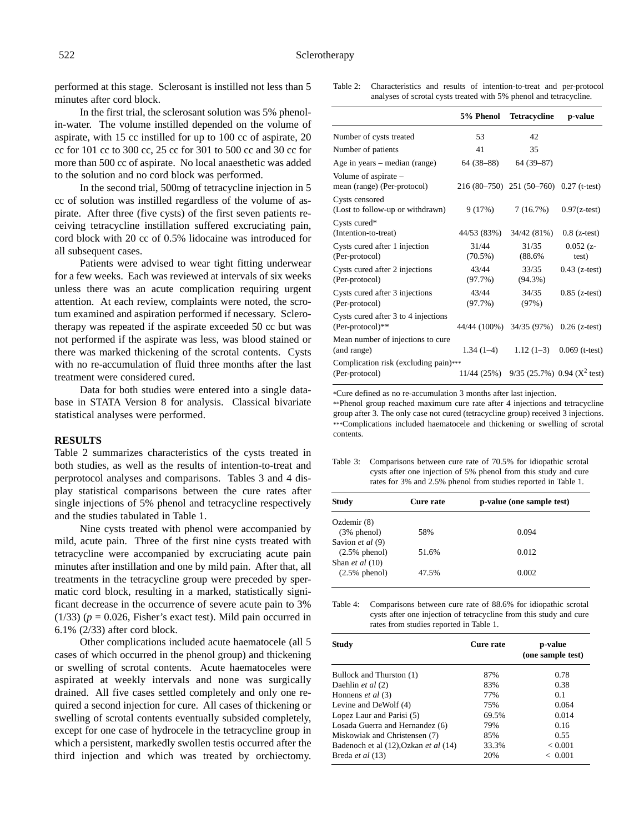performed at this stage. Sclerosant is instilled not less than 5 minutes after cord block.

In the first trial, the sclerosant solution was 5% phenolin-water. The volume instilled depended on the volume of aspirate, with 15 cc instilled for up to 100 cc of aspirate, 20 cc for 101 cc to 300 cc, 25 cc for 301 to 500 cc and 30 cc for more than 500 cc of aspirate. No local anaesthetic was added to the solution and no cord block was performed.

In the second trial, 500mg of tetracycline injection in 5 cc of solution was instilled regardless of the volume of aspirate. After three (five cysts) of the first seven patients receiving tetracycline instillation suffered excruciating pain, cord block with 20 cc of 0.5% lidocaine was introduced for all subsequent cases.

Patients were advised to wear tight fitting underwear for a few weeks. Each was reviewed at intervals of six weeks unless there was an acute complication requiring urgent attention. At each review, complaints were noted, the scrotum examined and aspiration performed if necessary. Sclerotherapy was repeated if the aspirate exceeded 50 cc but was not performed if the aspirate was less, was blood stained or there was marked thickening of the scrotal contents. Cysts with no re-accumulation of fluid three months after the last treatment were considered cured.

Data for both studies were entered into a single database in STATA Version 8 for analysis. Classical bivariate statistical analyses were performed.

### **RESULTS**

Table 2 summarizes characteristics of the cysts treated in both studies, as well as the results of intention-to-treat and perprotocol analyses and comparisons. Tables 3 and 4 display statistical comparisons between the cure rates after single injections of 5% phenol and tetracycline respectively and the studies tabulated in Table 1.

Nine cysts treated with phenol were accompanied by mild, acute pain. Three of the first nine cysts treated with tetracycline were accompanied by excruciating acute pain minutes after instillation and one by mild pain. After that, all treatments in the tetracycline group were preceded by spermatic cord block, resulting in a marked, statistically significant decrease in the occurrence of severe acute pain to 3% (1/33)  $(p = 0.026$ , Fisher's exact test). Mild pain occurred in 6.1% (2/33) after cord block.

Other complications included acute haematocele (all 5 cases of which occurred in the phenol group) and thickening or swelling of scrotal contents. Acute haematoceles were aspirated at weekly intervals and none was surgically drained. All five cases settled completely and only one required a second injection for cure. All cases of thickening or swelling of scrotal contents eventually subsided completely, except for one case of hydrocele in the tetracycline group in which a persistent, markedly swollen testis occurred after the third injection and which was treated by orchiectomy.

| Table 2: | Characteristics and results of intention-to-treat and per-protocol |  |
|----------|--------------------------------------------------------------------|--|
|          | analyses of scrotal cysts treated with 5% phenol and tetracycline. |  |

|                                                           | 5% Phenol                              | <b>Tetracycline</b>                         | p-value              |
|-----------------------------------------------------------|----------------------------------------|---------------------------------------------|----------------------|
| Number of cysts treated                                   | 53                                     | 42                                          |                      |
| Number of patients                                        | 41                                     | 35                                          |                      |
| Age in years – median (range)                             | $64(38-88)$                            | $64(39-87)$                                 |                      |
| Volume of aspirate -<br>mean (range) (Per-protocol)       |                                        | $216(80-750)$ $251(50-760)$ $0.27$ (t-test) |                      |
| Cysts censored<br>(Lost to follow-up or withdrawn)        | 9(17%)                                 | 7(16.7%)                                    | $0.97(z-test)$       |
| Cysts cured*<br>(Intention-to-treat)                      | 44/53 (83%)                            | 34/42 (81%)                                 | $0.8$ (z-test)       |
| Cysts cured after 1 injection<br>(Per-protocol)           | 31/44<br>$(70.5\%)$                    | 31/35<br>$(88.6\%$                          | $0.052(z -$<br>test) |
| Cysts cured after 2 injections<br>(Per-protocol)          | 43/44<br>(97.7%)                       | 33/35<br>$(94.3\%)$                         | $0.43$ (z-test)      |
| Cysts cured after 3 injections<br>(Per-protocol)          | 43/44<br>(97.7%)                       | 34/35<br>(97%)                              | $0.85$ (z-test)      |
| Cysts cured after 3 to 4 injections<br>$(Per-protocol)**$ | 44/44 (100%) 34/35 (97%) 0.26 (z-test) |                                             |                      |
| Mean number of injections to cure<br>(and range)          | $1.34(1-4)$                            | $1.12(1-3)$                                 | $0.069$ (t-test)     |
| Complication risk (excluding pain)***<br>(Per-protocol)   |                                        | 11/44 (25%) 9/35 (25.7%) 0.94 ( $X^2$ test) |                      |

\*Cure defined as no re-accumulation 3 months after last injection.

\*\*Phenol group reached maximum cure rate after 4 injections and tetracycline group after 3. The only case not cured (tetracycline group) received 3 injections. \*\*\*Complications included haematocele and thickening or swelling of scrotal contents.

Table 3: Comparisons between cure rate of 70.5% for idiopathic scrotal cysts after one injection of 5% phenol from this study and cure rates for 3% and 2.5% phenol from studies reported in Table 1.

| Cure rate | p-value (one sample test) |  |
|-----------|---------------------------|--|
|           |                           |  |
| 58%       | 0.094                     |  |
|           |                           |  |
| 51.6%     | 0.012                     |  |
|           |                           |  |
| 47.5%     | 0.002                     |  |
|           |                           |  |

Table 4: Comparisons between cure rate of 88.6% for idiopathic scrotal cysts after one injection of tetracycline from this study and cure rates from studies reported in Table 1.

| <b>Study</b>                          | Cure rate | p-value<br>(one sample test) |
|---------------------------------------|-----------|------------------------------|
| Bullock and Thurston (1)              | 87%       | 0.78                         |
| Daehlin et al (2)                     | 83%       | 0.38                         |
| Honnens et al (3)                     | 77%       | 0.1                          |
| Levine and DeWolf (4)                 | 75%       | 0.064                        |
| Lopez Laur and Parisi (5)             | 69.5%     | 0.014                        |
| Losada Guerra and Hernandez (6)       | 79%       | 0.16                         |
| Miskowiak and Christensen (7)         | 85%       | 0.55                         |
| Badenoch et al (12), Ozkan et al (14) | 33.3%     | < 0.001                      |
| Breda et al (13)                      | 20%       | < 0.001                      |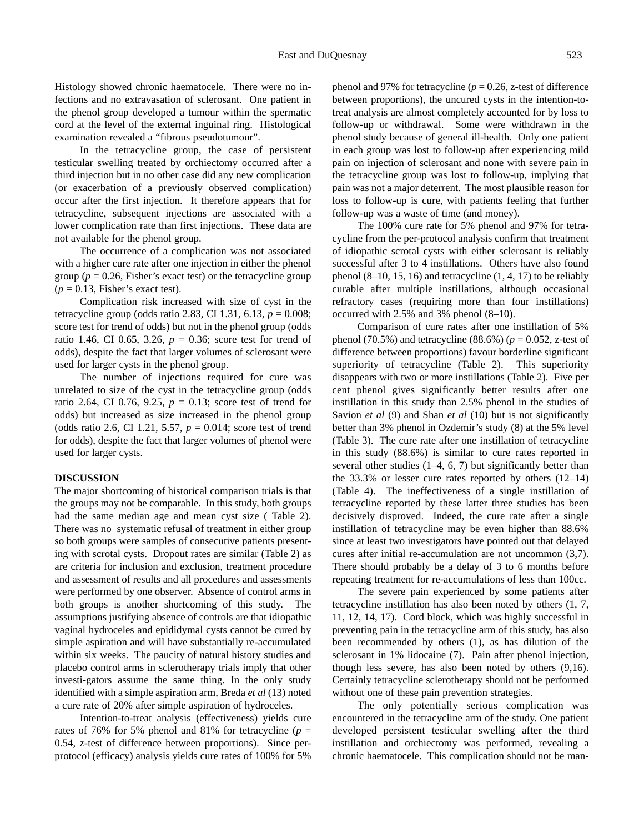Histology showed chronic haematocele. There were no infections and no extravasation of sclerosant. One patient in the phenol group developed a tumour within the spermatic cord at the level of the external inguinal ring. Histological examination revealed a "fibrous pseudotumour".

In the tetracycline group, the case of persistent testicular swelling treated by orchiectomy occurred after a third injection but in no other case did any new complication (or exacerbation of a previously observed complication) occur after the first injection. It therefore appears that for tetracycline, subsequent injections are associated with a lower complication rate than first injections. These data are not available for the phenol group.

The occurrence of a complication was not associated with a higher cure rate after one injection in either the phenol group ( $p = 0.26$ , Fisher's exact test) or the tetracycline group  $(p = 0.13,$  Fisher's exact test).

Complication risk increased with size of cyst in the tetracycline group (odds ratio 2.83, CI 1.31, 6.13, *p* = 0.008; score test for trend of odds) but not in the phenol group (odds ratio 1.46, CI 0.65, 3.26,  $p = 0.36$ ; score test for trend of odds), despite the fact that larger volumes of sclerosant were used for larger cysts in the phenol group.

The number of injections required for cure was unrelated to size of the cyst in the tetracycline group (odds ratio 2.64, CI 0.76, 9.25,  $p = 0.13$ ; score test of trend for odds) but increased as size increased in the phenol group (odds ratio 2.6, CI 1.21, 5.57, *p* = 0.014; score test of trend for odds), despite the fact that larger volumes of phenol were used for larger cysts.

## **DISCUSSION**

The major shortcoming of historical comparison trials is that the groups may not be comparable. In this study, both groups had the same median age and mean cyst size ( Table 2). There was no systematic refusal of treatment in either group so both groups were samples of consecutive patients presenting with scrotal cysts. Dropout rates are similar (Table 2) as are criteria for inclusion and exclusion, treatment procedure and assessment of results and all procedures and assessments were performed by one observer. Absence of control arms in both groups is another shortcoming of this study. The assumptions justifying absence of controls are that idiopathic vaginal hydroceles and epididymal cysts cannot be cured by simple aspiration and will have substantially re-accumulated within six weeks. The paucity of natural history studies and placebo control arms in sclerotherapy trials imply that other investi-gators assume the same thing. In the only study identified with a simple aspiration arm, Breda *et al* (13) noted a cure rate of 20% after simple aspiration of hydroceles.

Intention-to-treat analysis (effectiveness) yields cure rates of 76% for 5% phenol and 81% for tetracycline ( $p =$ 0.54, z-test of difference between proportions). Since perprotocol (efficacy) analysis yields cure rates of 100% for 5%

phenol and 97% for tetracycline  $(p = 0.26, z$ -test of difference between proportions), the uncured cysts in the intention-totreat analysis are almost completely accounted for by loss to follow-up or withdrawal. Some were withdrawn in the phenol study because of general ill-health. Only one patient in each group was lost to follow-up after experiencing mild pain on injection of sclerosant and none with severe pain in the tetracycline group was lost to follow-up, implying that pain was not a major deterrent. The most plausible reason for loss to follow-up is cure, with patients feeling that further follow-up was a waste of time (and money).

The 100% cure rate for 5% phenol and 97% for tetracycline from the per-protocol analysis confirm that treatment of idiopathic scrotal cysts with either sclerosant is reliably successful after 3 to 4 instillations. Others have also found phenol  $(8-10, 15, 16)$  and tetracycline  $(1, 4, 17)$  to be reliably curable after multiple instillations, although occasional refractory cases (requiring more than four instillations) occurred with 2.5% and 3% phenol (8–10).

Comparison of cure rates after one instillation of 5% phenol (70.5%) and tetracycline (88.6%) ( $p = 0.052$ , z-test of difference between proportions) favour borderline significant superiority of tetracycline (Table 2). This superiority disappears with two or more instillations (Table 2). Five per cent phenol gives significantly better results after one instillation in this study than 2.5% phenol in the studies of Savion *et al* (9) and Shan *et al* (10) but is not significantly better than 3% phenol in Ozdemir's study (8) at the 5% level (Table 3). The cure rate after one instillation of tetracycline in this study (88.6%) is similar to cure rates reported in several other studies (1–4, 6, 7) but significantly better than the 33.3% or lesser cure rates reported by others (12–14) (Table 4). The ineffectiveness of a single instillation of tetracycline reported by these latter three studies has been decisively disproved. Indeed, the cure rate after a single instillation of tetracycline may be even higher than 88.6% since at least two investigators have pointed out that delayed cures after initial re-accumulation are not uncommon (3,7). There should probably be a delay of 3 to 6 months before repeating treatment for re-accumulations of less than 100cc.

The severe pain experienced by some patients after tetracycline instillation has also been noted by others (1, 7, 11, 12, 14, 17). Cord block, which was highly successful in preventing pain in the tetracycline arm of this study, has also been recommended by others (1), as has dilution of the sclerosant in 1% lidocaine (7). Pain after phenol injection, though less severe, has also been noted by others (9,16). Certainly tetracycline sclerotherapy should not be performed without one of these pain prevention strategies.

The only potentially serious complication was encountered in the tetracycline arm of the study. One patient developed persistent testicular swelling after the third instillation and orchiectomy was performed, revealing a chronic haematocele. This complication should not be man-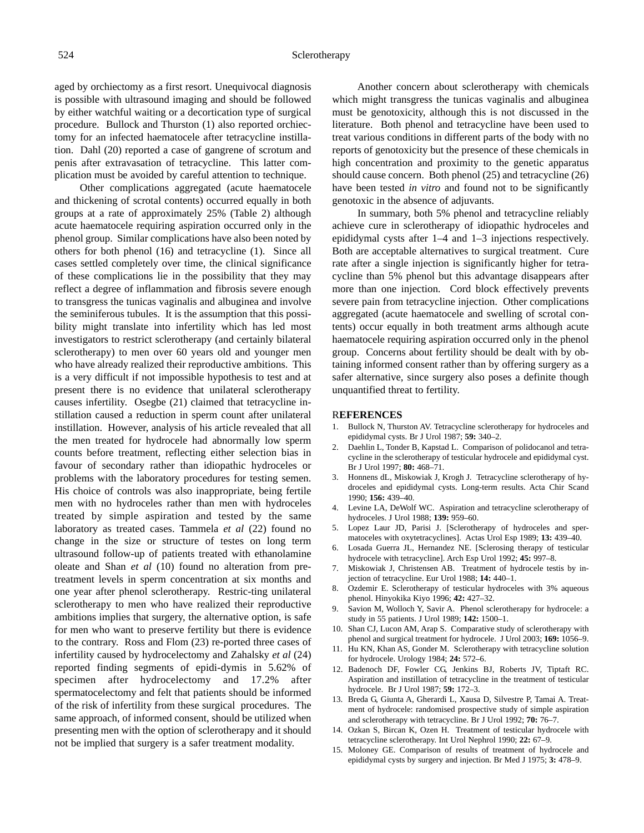#### Sclerotherapy

aged by orchiectomy as a first resort. Unequivocal diagnosis is possible with ultrasound imaging and should be followed by either watchful waiting or a decortication type of surgical procedure. Bullock and Thurston (1) also reported orchiectomy for an infected haematocele after tetracycline instillation. Dahl (20) reported a case of gangrene of scrotum and penis after extravasation of tetracycline. This latter complication must be avoided by careful attention to technique.

Other complications aggregated (acute haematocele and thickening of scrotal contents) occurred equally in both groups at a rate of approximately 25% (Table 2) although acute haematocele requiring aspiration occurred only in the phenol group. Similar complications have also been noted by others for both phenol (16) and tetracycline (1). Since all cases settled completely over time, the clinical significance of these complications lie in the possibility that they may reflect a degree of inflammation and fibrosis severe enough to transgress the tunicas vaginalis and albuginea and involve the seminiferous tubules. It is the assumption that this possibility might translate into infertility which has led most investigators to restrict sclerotherapy (and certainly bilateral sclerotherapy) to men over 60 years old and younger men who have already realized their reproductive ambitions. This is a very difficult if not impossible hypothesis to test and at present there is no evidence that unilateral sclerotherapy causes infertility. Osegbe (21) claimed that tetracycline instillation caused a reduction in sperm count after unilateral instillation. However, analysis of his article revealed that all the men treated for hydrocele had abnormally low sperm counts before treatment, reflecting either selection bias in favour of secondary rather than idiopathic hydroceles or problems with the laboratory procedures for testing semen. His choice of controls was also inappropriate, being fertile men with no hydroceles rather than men with hydroceles treated by simple aspiration and tested by the same laboratory as treated cases. Tammela *et al* (22) found no change in the size or structure of testes on long term ultrasound follow-up of patients treated with ethanolamine oleate and Shan *et al* (10) found no alteration from pretreatment levels in sperm concentration at six months and one year after phenol sclerotherapy. Restric-ting unilateral sclerotherapy to men who have realized their reproductive ambitions implies that surgery, the alternative option, is safe for men who want to preserve fertility but there is evidence to the contrary. Ross and Flom (23) re-ported three cases of infertility caused by hydrocelectomy and Zahalsky *et al* (24) reported finding segments of epidi-dymis in 5.62% of specimen after hydrocelectomy and 17.2% after spermatocelectomy and felt that patients should be informed of the risk of infertility from these surgical procedures. The same approach, of informed consent, should be utilized when presenting men with the option of sclerotherapy and it should not be implied that surgery is a safer treatment modality.

Another concern about sclerotherapy with chemicals which might transgress the tunicas vaginalis and albuginea must be genotoxicity, although this is not discussed in the literature. Both phenol and tetracycline have been used to treat various conditions in different parts of the body with no reports of genotoxicity but the presence of these chemicals in high concentration and proximity to the genetic apparatus should cause concern. Both phenol (25) and tetracycline (26) have been tested *in vitro* and found not to be significantly genotoxic in the absence of adjuvants.

In summary, both 5% phenol and tetracycline reliably achieve cure in sclerotherapy of idiopathic hydroceles and epididymal cysts after 1–4 and 1–3 injections respectively. Both are acceptable alternatives to surgical treatment. Cure rate after a single injection is significantly higher for tetracycline than 5% phenol but this advantage disappears after more than one injection. Cord block effectively prevents severe pain from tetracycline injection. Other complications aggregated (acute haematocele and swelling of scrotal contents) occur equally in both treatment arms although acute haematocele requiring aspiration occurred only in the phenol group. Concerns about fertility should be dealt with by obtaining informed consent rather than by offering surgery as a safer alternative, since surgery also poses a definite though unquantified threat to fertility.

### R**EFERENCES**

- 1. Bullock N, Thurston AV. Tetracycline sclerotherapy for hydroceles and epididymal cysts. Br J Urol 1987; **59:** 340–2.
- 2. Daehlin L, Tonder B, Kapstad L. Comparison of polidocanol and tetracycline in the sclerotherapy of testicular hydrocele and epididymal cyst. Br J Urol 1997; **80:** 468–71.
- 3. Honnens dL, Miskowiak J, Krogh J. Tetracycline sclerotherapy of hydroceles and epididymal cysts. Long-term results. Acta Chir Scand 1990; **156:** 439–40.
- 4. Levine LA, DeWolf WC. Aspiration and tetracycline sclerotherapy of hydroceles. J Urol 1988; **139:** 959–60.
- 5. Lopez Laur JD, Parisi J. [Sclerotherapy of hydroceles and spermatoceles with oxytetracyclines]. Actas Urol Esp 1989; **13:** 439–40.
- 6. Losada Guerra JL, Hernandez NE. [Sclerosing therapy of testicular hydrocele with tetracycline]. Arch Esp Urol 1992; **45:** 997–8.
- 7. Miskowiak J, Christensen AB. Treatment of hydrocele testis by injection of tetracycline. Eur Urol 1988; **14:** 440–1.
- 8. Ozdemir E. Sclerotherapy of testicular hydroceles with 3% aqueous phenol. Hinyokika Kiyo 1996; **42:** 427–32.
- 9. Savion M, Wolloch Y, Savir A. Phenol sclerotherapy for hydrocele: a study in 55 patients. J Urol 1989; **142:** 1500–1.
- 10. Shan CJ, Lucon AM, Arap S. Comparative study of sclerotherapy with phenol and surgical treatment for hydrocele. J Urol 2003; **169:** 1056–9.
- 11. Hu KN, Khan AS, Gonder M. Sclerotherapy with tetracycline solution for hydrocele. Urology 1984; **24:** 572–6.
- 12. Badenoch DF, Fowler CG, Jenkins BJ, Roberts JV, Tiptaft RC. Aspiration and instillation of tetracycline in the treatment of testicular hydrocele. Br J Urol 1987; **59:** 172–3.
- 13. Breda G, Giunta A, Gherardi L, Xausa D, Silvestre P, Tamai A. Treatment of hydrocele: randomised prospective study of simple aspiration and sclerotherapy with tetracycline. Br J Urol 1992; **70:** 76–7.
- 14. Ozkan S, Bircan K, Ozen H. Treatment of testicular hydrocele with tetracycline sclerotherapy. Int Urol Nephrol 1990; **22:** 67–9.
- 15. Moloney GE. Comparison of results of treatment of hydrocele and epididymal cysts by surgery and injection. Br Med J 1975; **3:** 478–9.